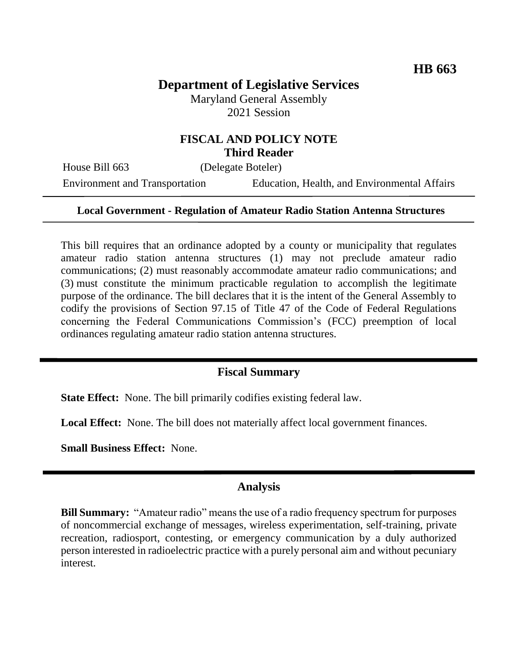# **Department of Legislative Services**

Maryland General Assembly 2021 Session

### **FISCAL AND POLICY NOTE Third Reader**

House Bill 663 (Delegate Boteler)

Environment and Transportation Education, Health, and Environmental Affairs

#### **Local Government - Regulation of Amateur Radio Station Antenna Structures**

This bill requires that an ordinance adopted by a county or municipality that regulates amateur radio station antenna structures (1) may not preclude amateur radio communications; (2) must reasonably accommodate amateur radio communications; and (3) must constitute the minimum practicable regulation to accomplish the legitimate purpose of the ordinance. The bill declares that it is the intent of the General Assembly to codify the provisions of Section 97.15 of Title 47 of the Code of Federal Regulations concerning the Federal Communications Commission's (FCC) preemption of local ordinances regulating amateur radio station antenna structures.

#### **Fiscal Summary**

**State Effect:** None. The bill primarily codifies existing federal law.

Local Effect: None. The bill does not materially affect local government finances.

**Small Business Effect:** None.

#### **Analysis**

**Bill Summary:** "Amateur radio" means the use of a radio frequency spectrum for purposes of noncommercial exchange of messages, wireless experimentation, self-training, private recreation, radiosport, contesting, or emergency communication by a duly authorized person interested in radioelectric practice with a purely personal aim and without pecuniary interest.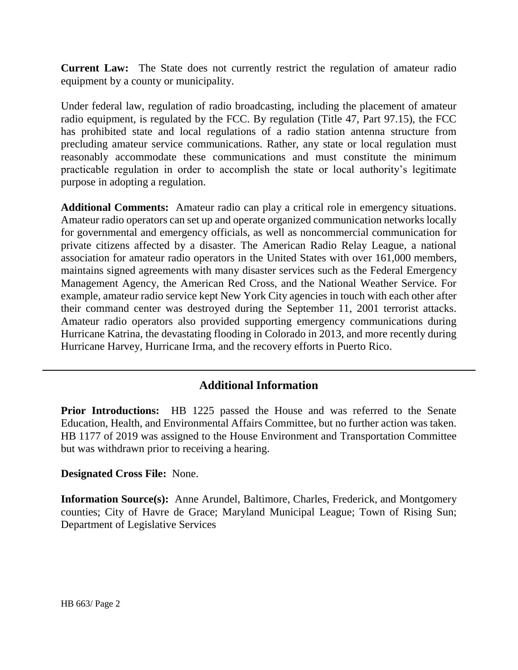**Current Law:** The State does not currently restrict the regulation of amateur radio equipment by a county or municipality.

Under federal law, regulation of radio broadcasting, including the placement of amateur radio equipment, is regulated by the FCC. By regulation (Title 47, Part 97.15), the FCC has prohibited state and local regulations of a radio station antenna structure from precluding amateur service communications. Rather, any state or local regulation must reasonably accommodate these communications and must constitute the minimum practicable regulation in order to accomplish the state or local authority's legitimate purpose in adopting a regulation.

**Additional Comments:** Amateur radio can play a critical role in emergency situations. Amateur radio operators can set up and operate organized communication networks locally for governmental and emergency officials, as well as noncommercial communication for private citizens affected by a disaster. The American Radio Relay League, a national association for amateur radio operators in the United States with over 161,000 members, maintains signed agreements with many disaster services such as the Federal Emergency Management Agency, the American Red Cross, and the National Weather Service. For example, amateur radio service kept New York City agencies in touch with each other after their command center was destroyed during the September 11, 2001 terrorist attacks. Amateur radio operators also provided supporting emergency communications during Hurricane Katrina, the devastating flooding in Colorado in 2013, and more recently during Hurricane Harvey, Hurricane Irma, and the recovery efforts in Puerto Rico.

## **Additional Information**

**Prior Introductions:** HB 1225 passed the House and was referred to the Senate Education, Health, and Environmental Affairs Committee, but no further action was taken. HB 1177 of 2019 was assigned to the House Environment and Transportation Committee but was withdrawn prior to receiving a hearing.

#### **Designated Cross File:** None.

**Information Source(s):** Anne Arundel, Baltimore, Charles, Frederick, and Montgomery counties; City of Havre de Grace; Maryland Municipal League; Town of Rising Sun; Department of Legislative Services